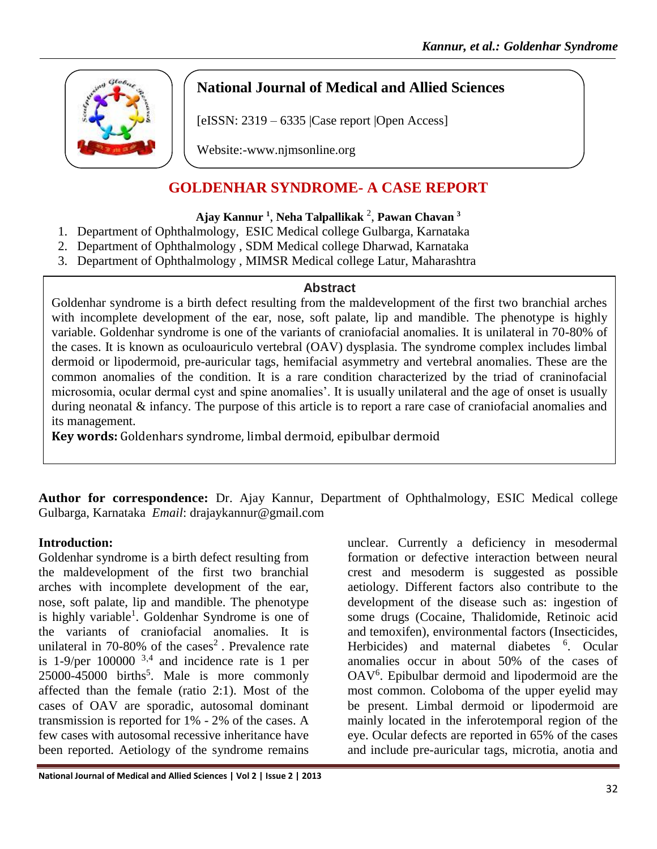

# **National Journal of Medical and Allied Sciences**

 $[eISSN: 2319 - 6335]$  Case report  $[Open Access]$ 

Website:-www.njmsonline.org

# **GOLDENHAR SYNDROME- A CASE REPORT**

### **Ajay Kannur <sup>1</sup>** , **Neha Talpallikak** <sup>2</sup> , **Pawan Chavan <sup>3</sup>**

- 1. Department of Ophthalmology, ESIC Medical college Gulbarga, Karnataka
- 2. Department of Ophthalmology , SDM Medical college Dharwad, Karnataka
- 3. Department of Ophthalmology , MIMSR Medical college Latur, Maharashtra

#### **Abstract**

Goldenhar syndrome is a birth defect resulting from the maldevelopment of the first two branchial arches with incomplete development of the ear, nose, soft palate, lip and mandible. The phenotype is highly variable. Goldenhar syndrome is one of the variants of craniofacial anomalies. It is unilateral in 70-80% of the cases. It is known as oculoauriculo vertebral (OAV) dysplasia. The syndrome complex includes limbal dermoid or lipodermoid, pre-auricular tags, hemifacial asymmetry and vertebral anomalies. These are the common anomalies of the condition. It is a rare condition characterized by the triad of craninofacial microsomia, ocular dermal cyst and spine anomalies'. It is usually unilateral and the age of onset is usually during neonatal & infancy. The purpose of this article is to report a rare case of craniofacial anomalies and its management.

**Key words:** Goldenhars syndrome, limbal dermoid, epibulbar dermoid

**Author for correspondence:** Dr. Ajay Kannur, Department of Ophthalmology, ESIC Medical college Gulbarga, Karnataka *Email*: drajaykannur@gmail.com

### **Introduction:**

Goldenhar syndrome is a birth defect resulting from the maldevelopment of the first two branchial arches with incomplete development of the ear, nose, soft palate, lip and mandible. The phenotype is highly variable<sup>1</sup>. Goldenhar Syndrome is one of the variants of craniofacial anomalies. It is unilateral in 70-80% of the cases<sup>2</sup>. Prevalence rate is  $1-9$ /per  $100000^{3,4}$  and incidence rate is 1 per  $25000-45000$  births<sup>5</sup>. Male is more commonly affected than the female (ratio 2:1). Most of the cases of OAV are sporadic, autosomal dominant transmission is reported for 1% - 2% of the cases. A few cases with autosomal recessive inheritance have been reported. Aetiology of the syndrome remains

unclear. Currently a deficiency in mesodermal formation or defective interaction between neural crest and mesoderm is suggested as possible aetiology. Different factors also contribute to the development of the disease such as: ingestion of some drugs (Cocaine, Thalidomide, Retinoic acid and temoxifen), environmental factors (Insecticides, Herbicides) and maternal diabetes <sup>6</sup>. Ocular anomalies occur in about 50% of the cases of OAV<sup>6</sup>. Epibulbar dermoid and lipodermoid are the most common. Coloboma of the upper eyelid may be present. Limbal dermoid or lipodermoid are mainly located in the inferotemporal region of the eye. Ocular defects are reported in 65% of the cases and include pre-auricular tags, microtia, anotia and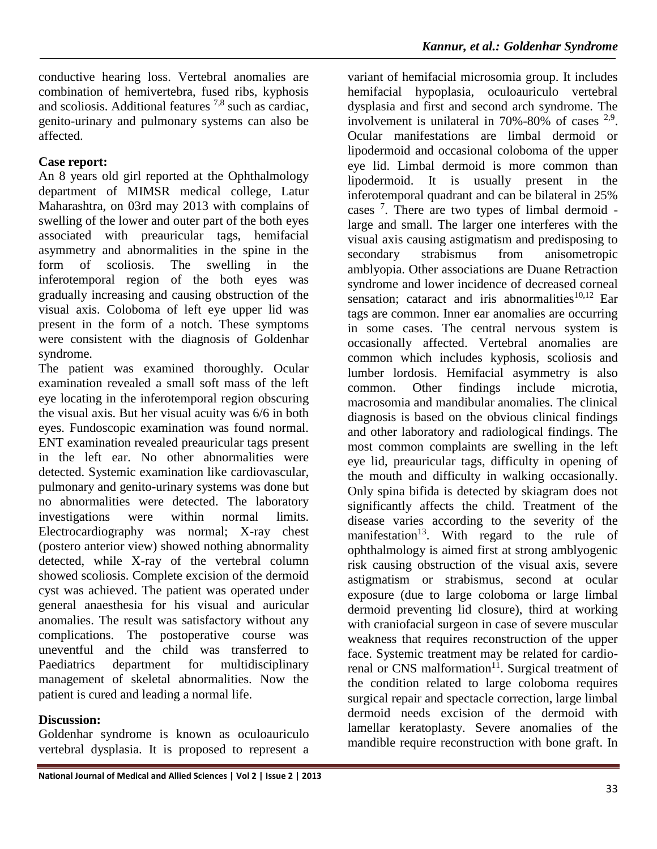conductive hearing loss. Vertebral anomalies are combination of hemivertebra, fused ribs, kyphosis and scoliosis. Additional features 7,8 such as cardiac, genito-urinary and pulmonary systems can also be affected.

## **Case report:**

An 8 years old girl reported at the Ophthalmology department of MIMSR medical college, Latur Maharashtra, on 03rd may 2013 with complains of swelling of the lower and outer part of the both eyes associated with preauricular tags, hemifacial asymmetry and abnormalities in the spine in the form of scoliosis. The swelling in the inferotemporal region of the both eyes was gradually increasing and causing obstruction of the visual axis. Coloboma of left eye upper lid was present in the form of a notch. These symptoms were consistent with the diagnosis of Goldenhar syndrome.

The patient was examined thoroughly. Ocular examination revealed a small soft mass of the left eye locating in the inferotemporal region obscuring the visual axis. But her visual acuity was 6/6 in both eyes. Fundoscopic examination was found normal. ENT examination revealed preauricular tags present in the left ear. No other abnormalities were detected. Systemic examination like cardiovascular, pulmonary and genito-urinary systems was done but no abnormalities were detected. The laboratory investigations were within normal limits. Electrocardiography was normal; X-ray chest (postero anterior view) showed nothing abnormality detected, while X-ray of the vertebral column showed scoliosis. Complete excision of the dermoid cyst was achieved. The patient was operated under general anaesthesia for his visual and auricular anomalies. The result was satisfactory without any complications. The postoperative course was uneventful and the child was transferred to Paediatrics department for multidisciplinary management of skeletal abnormalities. Now the patient is cured and leading a normal life.

## **Discussion:**

Goldenhar syndrome is known as oculoauriculo vertebral dysplasia. It is proposed to represent a

variant of hemifacial microsomia group. It includes hemifacial hypoplasia, oculoauriculo vertebral dysplasia and first and second arch syndrome. The involvement is unilateral in  $70\% - 80\%$  of cases  $2.9$ . Ocular manifestations are limbal dermoid or lipodermoid and occasional coloboma of the upper eye lid. Limbal dermoid is more common than lipodermoid. It is usually present in the inferotemporal quadrant and can be bilateral in 25% cases<sup>7</sup>. There are two types of limbal dermoid large and small. The larger one interferes with the visual axis causing astigmatism and predisposing to secondary strabismus from anisometropic amblyopia. Other associations are Duane Retraction syndrome and lower incidence of decreased corneal sensation; cataract and iris abnormalities $10,12$  Ear tags are common. Inner ear anomalies are occurring in some cases. The central nervous system is occasionally affected. Vertebral anomalies are common which includes kyphosis, scoliosis and lumber lordosis. Hemifacial asymmetry is also common. Other findings include microtia, macrosomia and mandibular anomalies. The clinical diagnosis is based on the obvious clinical findings and other laboratory and radiological findings. The most common complaints are swelling in the left eye lid, preauricular tags, difficulty in opening of the mouth and difficulty in walking occasionally. Only spina bifida is detected by skiagram does not significantly affects the child. Treatment of the disease varies according to the severity of the manifestation<sup>13</sup>. With regard to the rule of ophthalmology is aimed first at strong amblyogenic risk causing obstruction of the visual axis, severe astigmatism or strabismus, second at ocular exposure (due to large coloboma or large limbal dermoid preventing lid closure), third at working with craniofacial surgeon in case of severe muscular weakness that requires reconstruction of the upper face. Systemic treatment may be related for cardiorenal or CNS malformation<sup>11</sup>. Surgical treatment of the condition related to large coloboma requires surgical repair and spectacle correction, large limbal dermoid needs excision of the dermoid with lamellar keratoplasty. Severe anomalies of the mandible require reconstruction with bone graft. In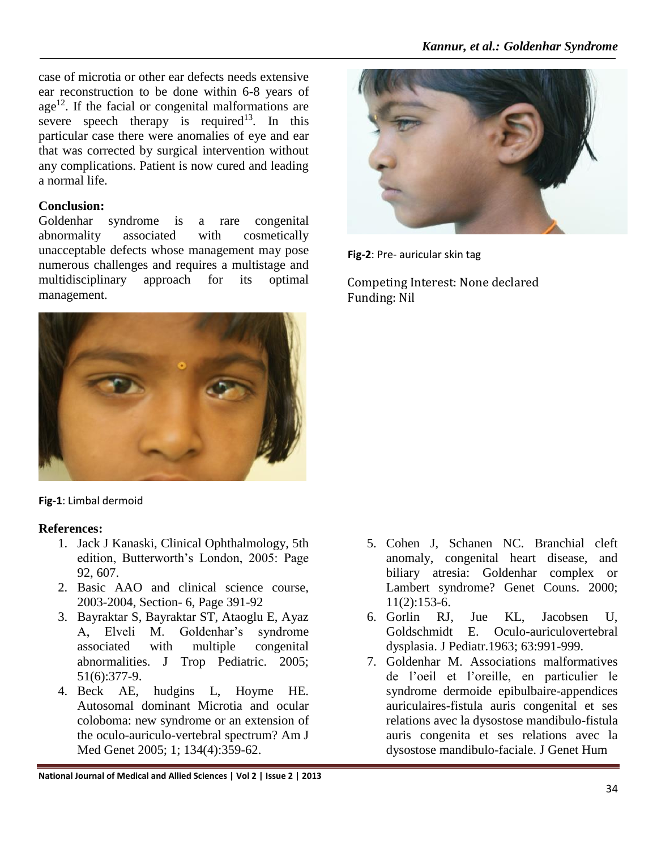case of microtia or other ear defects needs extensive ear reconstruction to be done within 6-8 years of  $age<sup>12</sup>$ . If the facial or congenital malformations are severe speech therapy is required<sup>13</sup>. In this particular case there were anomalies of eye and ear that was corrected by surgical intervention without any complications. Patient is now cured and leading a normal life.

#### **Conclusion:**

Goldenhar syndrome is a rare congenital abnormality associated with cosmetically unacceptable defects whose management may pose numerous challenges and requires a multistage and multidisciplinary approach for its optimal management.



**Fig-1**: Limbal dermoid

### **References:**

- 1. Jack J Kanaski, Clinical Ophthalmology, 5th edition, Butterworth's London, 2005: Page 92, 607.
- 2. Basic AAO and clinical science course, 2003-2004, Section- 6, Page 391-92
- 3. Bayraktar S, Bayraktar ST, Ataoglu E, Ayaz A, Elveli M. Goldenhar's syndrome associated with multiple congenital abnormalities. J Trop Pediatric. 2005; 51(6):377-9.
- 4. Beck AE, hudgins L, Hoyme HE. Autosomal dominant Microtia and ocular coloboma: new syndrome or an extension of the oculo-auriculo-vertebral spectrum? Am J Med Genet 2005; 1; 134(4):359-62.



**Fig-2**: Pre- auricular skin tag

Competing Interest: None declared Funding: Nil

- 5. Cohen J, Schanen NC. Branchial cleft anomaly, congenital heart disease, and biliary atresia: Goldenhar complex or Lambert syndrome? Genet Couns. 2000;  $11(2):153-6.$
- 6. Gorlin RJ, Jue KL, Jacobsen U, Goldschmidt E. Oculo-auriculovertebral dysplasia. J Pediatr.1963; 63:991-999.
- 7. Goldenhar M. Associations malformatives de l'oeil et l'oreille, en particulier le syndrome dermoide epibulbaire-appendices auriculaires-fistula auris congenital et ses relations avec la dysostose mandibulo-fistula auris congenita et ses relations avec la dysostose mandibulo-faciale. J Genet Hum